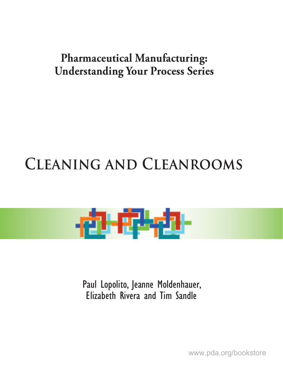### **Pharmaceutical Manufacturing: Understanding Your Process Series**

# **Cleaning and Cleanrooms**



Paul Lopolito, Jeanne Moldenhauer, Elizabeth Rivera and Tim Sandle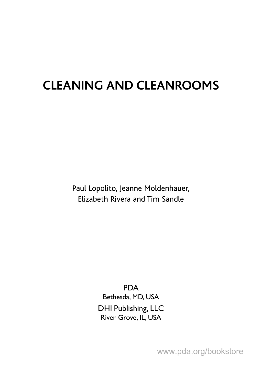## **CLEANING AND CLEANROOMS**

Paul Lopolito, Jeanne Moldenhauer, Elizabeth Rivera and Tim Sandle

> PDA Bethesda, MD, USA DHI Publishing, LLC River Grove, IL, USA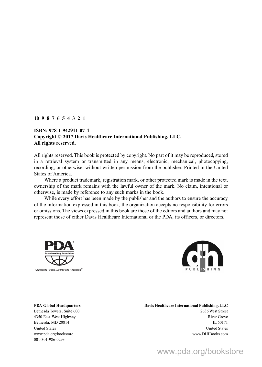#### **10 987654321**

#### **ISBN: 978-1-942911-07-4 Copyright © 2017 Davis Healthcare International Publishing, LLC. All rights reserved.**

All rights reserved. This book is protected by copyright. No part of it may be reproduced, stored in a retrieval system or transmitted in any means, electronic, mechanical, photocopying, recording, or otherwise, without written permission from the publisher. Printed in the United States of America.

Where a product trademark, registration mark, or other protected mark is made in the text, ownership of the mark remains with the lawful owner of the mark. No claim, intentional or otherwise, is made by reference to any such marks in the book.

While every effort has been made by the publisher and the authors to ensure the accuracy of the information expressed in this book, the organization accepts no responsibility for errors or omissions. The views expressed in this book are those of the editors and authors and may not represent those of either Davis Healthcare International or the PDA, its officers, or directors.





#### **PDA Global Headquarters Davis Healthcare International Publishing, LLC** Bethesda Towers, Suite 600 2636 West Street 4350 East-West Highway River Grove

Bethesda, MD 20814 IL 60171 United States United States United States United States United States United States United States United States www.pda.org/bookstore www.DHIBooks.com 001-301-986-0293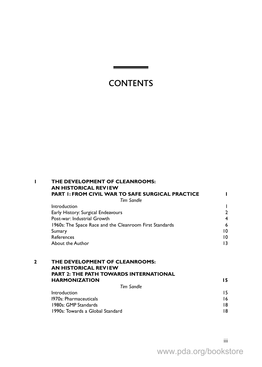### **CONTENTS**

|              | THE DEVELOPMENT OF CLEANROOMS:<br><b>AN HISTORICAL REVIEW</b>  |                 |
|--------------|----------------------------------------------------------------|-----------------|
|              | <b>PART I: FROM CIVIL WAR TO SAFE SURGICAL PRACTICE</b>        |                 |
|              | Tim Sandle                                                     |                 |
|              | Introduction                                                   |                 |
|              | Early History: Surgical Endeavours                             | $\mathbf{2}$    |
|              | Post-war: Industrial Growth                                    | 4               |
|              | 1960s: The Space Race and the Cleanroom First Standards        | 6               |
|              | Sumary                                                         | 10              |
|              | References                                                     | 10              |
|              | About the Author                                               | 13              |
| $\mathbf{2}$ | THE DEVELOPMENT OF CLEANROOMS:<br><b>AN HISTORICAL REVIEW</b>  |                 |
|              | <b>PART 2: THE PATH TOWARDS INTERNATIONAL</b>                  |                 |
|              | <b>HARMONIZATION</b>                                           | 15.             |
|              | <b>Tim Sandle</b>                                              |                 |
|              | Introduction<br>1970s: Pharmaceuticals<br>1980s: GMP Standards | 15.<br>16<br>18 |
|              | 1990s: Towards a Global Standard                               | 18              |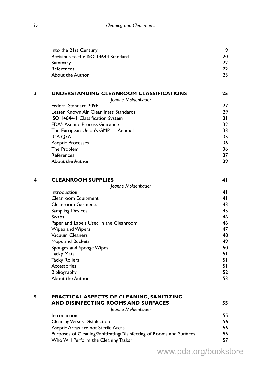| Into the 21st Century               | 19 |
|-------------------------------------|----|
| Revisions to the ISO 14644 Standard | 20 |
| Summary                             | つつ |
| References                          | フフ |
| About the Author                    | つっ |
|                                     |    |

| 3          | UNDERSTANDING CLEANROOM CLASSIFICATIONS<br>Jeanne Moldenhauer | 25 |
|------------|---------------------------------------------------------------|----|
|            | Federal Standard 209E                                         | 27 |
|            | Lesser Known Air Cleanliness Standards                        | 29 |
|            | ISO 14644-1 Classification System                             | 31 |
|            | <b>FDA's Aseptic Process Guidance</b>                         | 32 |
|            | The European Union's GMP - Annex I                            | 33 |
| ICA O7A    |                                                               | 35 |
|            | <b>Aseptic Processes</b>                                      | 36 |
|            | The Problem                                                   | 36 |
| References |                                                               | 37 |
|            | About the Author                                              | 39 |

| 4 | <b>CLEANROOM SUPPLIES</b>              | 41 |
|---|----------------------------------------|----|
|   | Jeanne Moldenhauer                     |    |
|   | Introduction                           | 41 |
|   | Cleanroom Equipment                    | 41 |
|   | <b>Cleanroom Garments</b>              | 43 |
|   | <b>Sampling Devices</b>                | 45 |
|   | <b>Swabs</b>                           | 46 |
|   | Paper and Labels Used in the Cleanroom | 46 |
|   | Wipes and Wipers                       | 47 |
|   | Vacuum Cleaners                        | 48 |
|   | Mops and Buckets                       | 49 |
|   | Sponges and Sponge Wipes               | 50 |
|   | <b>Tacky Mats</b>                      | 51 |
|   | <b>Tacky Rollers</b>                   | 51 |
|   | Accessories                            | 51 |
|   | Bibliography                           | 52 |
|   | About the Author                       | 53 |

| 5 | <b>PRACTICAL ASPECTS OF CLEANING, SANITIZING</b>                     |    |
|---|----------------------------------------------------------------------|----|
|   | AND DISINFECTING ROOMS AND SURFACES                                  | 55 |
|   | Jeanne Moldenhauer                                                   |    |
|   | Introduction                                                         | 55 |
|   | <b>Cleaning Versus Disinfection</b>                                  | 56 |
|   | Aseptic Areas are not Sterile Areas                                  | 56 |
|   | Purposes of Cleaning/Sanitizating/Disinfecting of Rooms and Surfaces | 56 |
|   | Who Will Perform the Cleaning Tasks?                                 | 57 |
|   |                                                                      |    |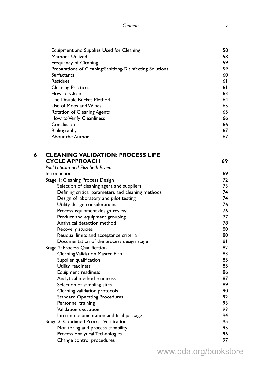Equipment and Supplies Used for Cleaning<br>Methods Utilized 58

|   | Methods Utilized                                          | 58       |
|---|-----------------------------------------------------------|----------|
|   | Frequency of Cleaning                                     | 59       |
|   | Preparations of Cleaning/Sanitizng/Disinfecting Solutions | 59       |
|   | Surfactants                                               | 60       |
|   | <b>Residues</b>                                           | 61       |
|   | <b>Cleaning Practices</b>                                 | 61       |
|   | How to Clean                                              | 63       |
|   | The Double Bucket Method                                  | 64       |
|   | Use of Mops and Wipes                                     | 65       |
|   | Rotation of Cleaning Agents                               | 65       |
|   | How to Verify Cleanliness                                 | 66       |
|   | Conclusion                                                | 66       |
|   | Bibliography                                              | 67       |
|   | About the Author                                          | 67       |
| 6 | <b>CLEANING VALIDATION: PROCESS LIFE</b>                  |          |
|   | <b>CYCLE APPROACH</b>                                     | 69       |
|   | Paul Lopolito and Elizabeth Rivera                        |          |
|   | Introduction                                              | 69       |
|   | Stage 1: Cleaning Process Design                          | 72       |
|   | Selection of cleaning agent and suppliers                 | 73       |
|   | Defining critical parameters and cleaning methods         | 74       |
|   | Design of laboratory and pilot testing                    | 74       |
|   | Utility design considerations                             | 76       |
|   | Process equipment design review                           | 76       |
|   | Product and equipment grouping                            | 77       |
|   | Analytical detection method                               | 78       |
|   | Recovery studies                                          | 80       |
|   | Residual limits and acceptance criteria                   | 80       |
|   | Documentation of the process design stage                 | 81       |
|   | Stage 2: Process Qualification                            | 82       |
|   | Cleaning Validation Master Plan                           | 83       |
|   | Supplier qualification                                    | 85       |
|   | Utility readiness                                         | 85       |
|   | Equipment readiness                                       | 86       |
|   | Analytical method readiness                               | 87       |
|   | Selection of sampling sites                               | 89       |
|   | Cleaning validation protocols                             | 90       |
|   | <b>Standard Operating Procedures</b>                      | 92       |
|   | Personnel training                                        | 93       |
|   | Validation execution                                      | 93       |
|   | Interim documentation and final package                   | 94       |
|   | Stage 3: Continued Process Verification                   | 95       |
|   | Monitoring and process capability                         | 95       |
|   | Process Analytical Technologies                           | 96<br>97 |
|   | Change control procedures                                 |          |
|   |                                                           |          |